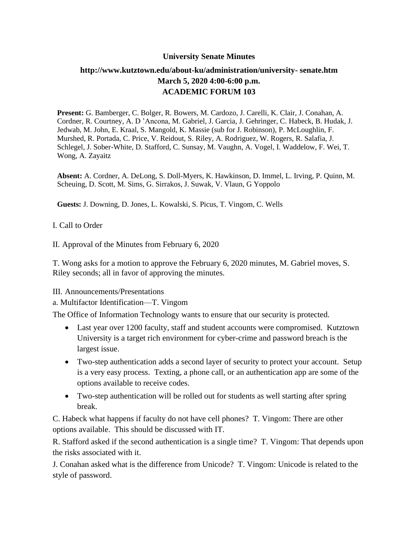### **University Senate Minutes**

# **<http://www.kutztown.edu/about-ku/administration/university-> senate.htm March 5, 2020 4:00-6:00 p.m. ACADEMIC FORUM 103**

**Present:** G. Bamberger, C. Bolger, R. Bowers, M. Cardozo, J. Carelli, K. Clair, J. Conahan, A. Cordner, R. Courtney, A. D 'Ancona, M. Gabriel, J. Garcia, J. Gehringer, C. Habeck, B. Hudak, J. Jedwab, M. John, E. Kraal, S. Mangold, K. Massie (sub for J. Robinson), P. McLoughlin, F. Murshed, R. Portada, C. Price, V. Reidout, S. Riley, A. Rodriguez, W. Rogers, R. Salafia, J. Schlegel, J. Sober-White, D. Stafford, C. Sunsay, M. Vaughn, A. Vogel, I. Waddelow, F. Wei, T. Wong, A. Zayaitz

**Absent:** A. Cordner, A. DeLong, S. Doll-Myers, K. Hawkinson, D. Immel, L. Irving, P. Quinn, M. Scheuing, D. Scott, M. Sims, G. Sirrakos, J. Suwak, V. Vlaun, G Yoppolo

**Guests:** J. Downing, D. Jones, L. Kowalski, S. Picus, T. Vingom, C. Wells

### I. Call to Order

II. Approval of the Minutes from February 6, 2020

T. Wong asks for a motion to approve the February 6, 2020 minutes, M. Gabriel moves, S. Riley seconds; all in favor of approving the minutes.

III. Announcements/Presentations

a. Multifactor Identification—T. Vingom

The Office of Information Technology wants to ensure that our security is protected.

- Last year over 1200 faculty, staff and student accounts were compromised. Kutztown University is a target rich environment for cyber-crime and password breach is the largest issue.
- Two-step authentication adds a second layer of security to protect your account. Setup is a very easy process. Texting, a phone call, or an authentication app are some of the options available to receive codes.
- Two-step authentication will be rolled out for students as well starting after spring break.

C. Habeck what happens if faculty do not have cell phones? T. Vingom: There are other options available. This should be discussed with IT.

R. Stafford asked if the second authentication is a single time? T. Vingom: That depends upon the risks associated with it.

J. Conahan asked what is the difference from Unicode? T. Vingom: Unicode is related to the style of password.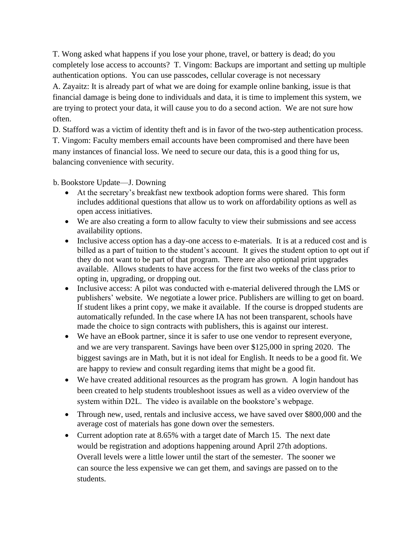T. Wong asked what happens if you lose your phone, travel, or battery is dead; do you completely lose access to accounts? T. Vingom: Backups are important and setting up multiple authentication options. You can use passcodes, cellular coverage is not necessary A. Zayaitz: It is already part of what we are doing for example online banking, issue is that financial damage is being done to individuals and data, it is time to implement this system, we are trying to protect your data, it will cause you to do a second action. We are not sure how often.

D. Stafford was a victim of identity theft and is in favor of the two-step authentication process. T. Vingom: Faculty members email accounts have been compromised and there have been many instances of financial loss. We need to secure our data, this is a good thing for us, balancing convenience with security.

b. Bookstore Update—J. Downing

- At the secretary's breakfast new textbook adoption forms were shared. This form includes additional questions that allow us to work on affordability options as well as open access initiatives.
- We are also creating a form to allow faculty to view their submissions and see access availability options.
- Inclusive access option has a day-one access to e-materials. It is at a reduced cost and is billed as a part of tuition to the student's account. It gives the student option to opt out if they do not want to be part of that program. There are also optional print upgrades available. Allows students to have access for the first two weeks of the class prior to opting in, upgrading, or dropping out.
- Inclusive access: A pilot was conducted with e-material delivered through the LMS or publishers' website. We negotiate a lower price. Publishers are willing to get on board. If student likes a print copy, we make it available. If the course is dropped students are automatically refunded. In the case where IA has not been transparent, schools have made the choice to sign contracts with publishers, this is against our interest.
- We have an eBook partner, since it is safer to use one vendor to represent everyone, and we are very transparent. Savings have been over \$125,000 in spring 2020. The biggest savings are in Math, but it is not ideal for English. It needs to be a good fit. We are happy to review and consult regarding items that might be a good fit.
- We have created additional resources as the program has grown. A login handout has been created to help students troubleshoot issues as well as a video overview of the system within D2L. The video is available on the bookstore's webpage.
- Through new, used, rentals and inclusive access, we have saved over \$800,000 and the average cost of materials has gone down over the semesters.
- Current adoption rate at 8.65% with a target date of March 15. The next date would be registration and adoptions happening around April 27th adoptions. Overall levels were a little lower until the start of the semester. The sooner we can source the less expensive we can get them, and savings are passed on to the students.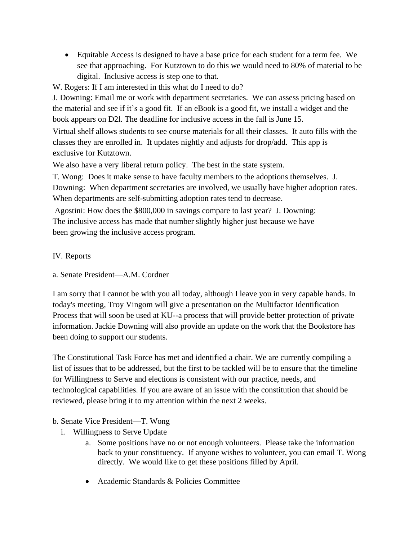- Equitable Access is designed to have a base price for each student for a term fee. We see that approaching. For Kutztown to do this we would need to 80% of material to be digital. Inclusive access is step one to that.
- W. Rogers: If I am interested in this what do I need to do?

J. Downing: Email me or work with department secretaries. We can assess pricing based on the material and see if it's a good fit. If an eBook is a good fit, we install a widget and the book appears on D2l. The deadline for inclusive access in the fall is June 15.

Virtual shelf allows students to see course materials for all their classes. It auto fills with the classes they are enrolled in. It updates nightly and adjusts for drop/add. This app is exclusive for Kutztown.

We also have a very liberal return policy. The best in the state system.

T. Wong: Does it make sense to have faculty members to the adoptions themselves. J.

Downing: When department secretaries are involved, we usually have higher adoption rates. When departments are self-submitting adoption rates tend to decrease.

Agostini: How does the \$800,000 in savings compare to last year? J. Downing: The inclusive access has made that number slightly higher just because we have been growing the inclusive access program.

## IV. Reports

a. Senate President—A.M. Cordner

I am sorry that I cannot be with you all today, although I leave you in very capable hands. In today's meeting, Troy Vingom will give a presentation on the Multifactor Identification Process that will soon be used at KU--a process that will provide better protection of private information. Jackie Downing will also provide an update on the work that the Bookstore has been doing to support our students.

The Constitutional Task Force has met and identified a chair. We are currently compiling a list of issues that to be addressed, but the first to be tackled will be to ensure that the timeline for Willingness to Serve and elections is consistent with our practice, needs, and technological capabilities. If you are aware of an issue with the constitution that should be reviewed, please bring it to my attention within the next 2 weeks.

### b. Senate Vice President—T. Wong

- i. Willingness to Serve Update
	- a. Some positions have no or not enough volunteers. Please take the information back to your constituency. If anyone wishes to volunteer, you can email T. Wong directly. We would like to get these positions filled by April.
	- Academic Standards & Policies Committee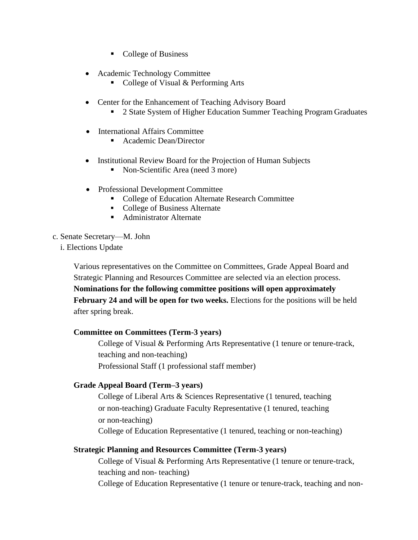- College of Business
- Academic Technology Committee
	- College of Visual & Performing Arts
- Center for the Enhancement of Teaching Advisory Board
	- 2 State System of Higher Education Summer Teaching Program Graduates
- International Affairs Committee
	- Academic Dean/Director
- Institutional Review Board for the Projection of Human Subjects
	- Non-Scientific Area (need 3 more)
- Professional Development Committee
	- College of Education Alternate Research Committee
	- College of Business Alternate
	- Administrator Alternate
- c. Senate Secretary—M. John
	- i. Elections Update

Various representatives on the Committee on Committees, Grade Appeal Board and Strategic Planning and Resources Committee are selected via an election process. **Nominations for the following committee positions will open approximately February 24 and will be open for two weeks.** Elections for the positions will be held

after spring break.

### **Committee on Committees (Term-3 years)**

College of Visual & Performing Arts Representative (1 tenure or tenure-track, teaching and non-teaching) Professional Staff (1 professional staff member)

# **Grade Appeal Board (Term–3 years)**

College of Liberal Arts & Sciences Representative (1 tenured, teaching or non-teaching) Graduate Faculty Representative (1 tenured, teaching or non-teaching) College of Education Representative (1 tenured, teaching or non-teaching)

### **Strategic Planning and Resources Committee (Term-3 years)**

College of Visual & Performing Arts Representative (1 tenure or tenure-track, teaching and non- teaching)

College of Education Representative (1 tenure or tenure-track, teaching and non-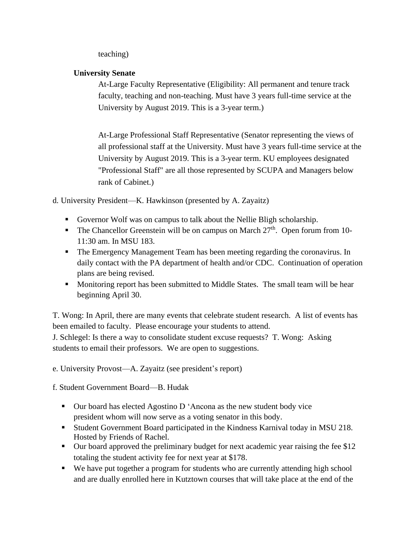teaching)

## **University Senate**

At-Large Faculty Representative (Eligibility: All permanent and tenure track faculty, teaching and non-teaching. Must have 3 years full-time service at the University by August 2019. This is a 3-year term.)

At-Large Professional Staff Representative (Senator representing the views of all professional staff at the University. Must have 3 years full-time service at the University by August 2019. This is a 3-year term. KU employees designated "Professional Staff" are all those represented by SCUPA and Managers below rank of Cabinet.)

d. University President—K. Hawkinson (presented by A. Zayaitz)

- Governor Wolf was on campus to talk about the Nellie Bligh scholarship.
- **•** The Chancellor Greenstein will be on campus on March  $27<sup>th</sup>$ . Open forum from 10-11:30 am. In MSU 183.
- The Emergency Management Team has been meeting regarding the coronavirus. In daily contact with the PA department of health and/or CDC. Continuation of operation plans are being revised.
- Monitoring report has been submitted to Middle States. The small team will be hear beginning April 30.

T. Wong: In April, there are many events that celebrate student research. A list of events has been emailed to faculty. Please encourage your students to attend. J. Schlegel: Is there a way to consolidate student excuse requests? T. Wong: Asking

students to email their professors. We are open to suggestions.

e. University Provost—A. Zayaitz (see president's report)

f. Student Government Board—B. Hudak

- Our board has elected Agostino D 'Ancona as the new student body vice president whom will now serve as a voting senator in this body.
- Student Government Board participated in the Kindness Karnival today in MSU 218. Hosted by Friends of Rachel.
- Our board approved the preliminary budget for next academic year raising the fee \$12 totaling the student activity fee for next year at \$178.
- We have put together a program for students who are currently attending high school and are dually enrolled here in Kutztown courses that will take place at the end of the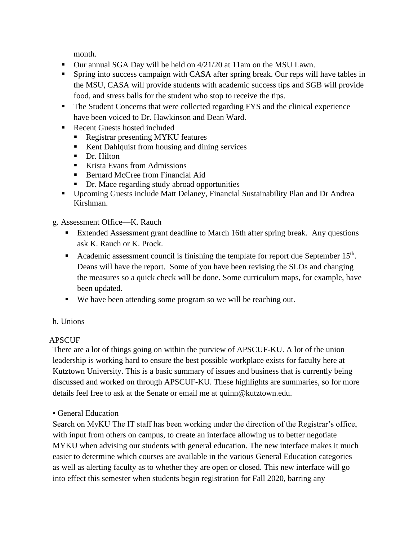month.

- Our annual SGA Day will be held on 4/21/20 at 11am on the MSU Lawn.
- **Example 1** Spring into success campaign with CASA after spring break. Our reps will have tables in the MSU, CASA will provide students with academic success tips and SGB will provide food, and stress balls for the student who stop to receive the tips.
- **The Student Concerns that were collected regarding FYS and the clinical experience** have been voiced to Dr. Hawkinson and Dean Ward.
- Recent Guests hosted included
	- Registrar presenting MYKU features
	- Kent Dahlquist from housing and dining services
	- Dr. Hilton
	- Krista Evans from Admissions
	- Bernard McCree from Financial Aid
	- Dr. Mace regarding study abroad opportunities
- Upcoming Guests include Matt Delaney, Financial Sustainability Plan and Dr Andrea Kirshman.

g. Assessment Office—K. Rauch

- Extended Assessment grant deadline to March 16th after spring break. Any questions ask K. Rauch or K. Prock.
- Academic assessment council is finishing the template for report due September 15<sup>th</sup>. Deans will have the report. Some of you have been revising the SLOs and changing the measures so a quick check will be done. Some curriculum maps, for example, have been updated.
- We have been attending some program so we will be reaching out.
- h. Unions

# **APSCUF**

There are a lot of things going on within the purview of APSCUF-KU. A lot of the union leadership is working hard to ensure the best possible workplace exists for faculty here at Kutztown University. This is a basic summary of issues and business that is currently being discussed and worked on through APSCUF-KU. These highlights are summaries, so for more details feel free to ask at the Senate or email me at [quinn@kutztown.edu.](mailto:quinn@kutztown.edu)

# • General Education

Search on MyKU The IT staff has been working under the direction of the Registrar's office, with input from others on campus, to create an interface allowing us to better negotiate MYKU when advising our students with general education. The new interface makes it much easier to determine which courses are available in the various General Education categories as well as alerting faculty as to whether they are open or closed. This new interface will go into effect this semester when students begin registration for Fall 2020, barring any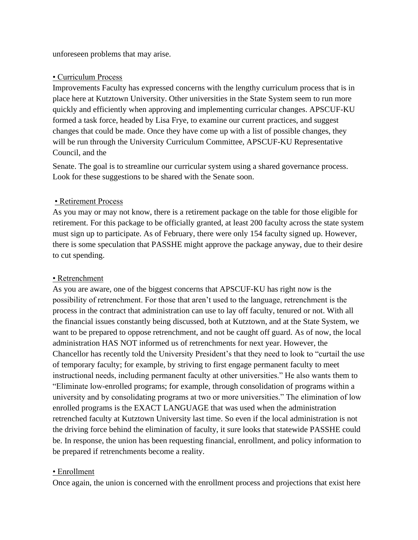unforeseen problems that may arise.

### • Curriculum Process

Improvements Faculty has expressed concerns with the lengthy curriculum process that is in place here at Kutztown University. Other universities in the State System seem to run more quickly and efficiently when approving and implementing curricular changes. APSCUF-KU formed a task force, headed by Lisa Frye, to examine our current practices, and suggest changes that could be made. Once they have come up with a list of possible changes, they will be run through the University Curriculum Committee, APSCUF-KU Representative Council, and the

Senate. The goal is to streamline our curricular system using a shared governance process. Look for these suggestions to be shared with the Senate soon.

### • Retirement Process

As you may or may not know, there is a retirement package on the table for those eligible for retirement. For this package to be officially granted, at least 200 faculty across the state system must sign up to participate. As of February, there were only 154 faculty signed up. However, there is some speculation that PASSHE might approve the package anyway, due to their desire to cut spending.

### • Retrenchment

As you are aware, one of the biggest concerns that APSCUF-KU has right now is the possibility of retrenchment. For those that aren't used to the language, retrenchment is the process in the contract that administration can use to lay off faculty, tenured or not. With all the financial issues constantly being discussed, both at Kutztown, and at the State System, we want to be prepared to oppose retrenchment, and not be caught off guard. As of now, the local administration HAS NOT informed us of retrenchments for next year. However, the Chancellor has recently told the University President's that they need to look to "curtail the use of temporary faculty; for example, by striving to first engage permanent faculty to meet instructional needs, including permanent faculty at other universities." He also wants them to "Eliminate low-enrolled programs; for example, through consolidation of programs within a university and by consolidating programs at two or more universities." The elimination of low enrolled programs is the EXACT LANGUAGE that was used when the administration retrenched faculty at Kutztown University last time. So even if the local administration is not the driving force behind the elimination of faculty, it sure looks that statewide PASSHE could be. In response, the union has been requesting financial, enrollment, and policy information to be prepared if retrenchments become a reality.

### • Enrollment

Once again, the union is concerned with the enrollment process and projections that exist here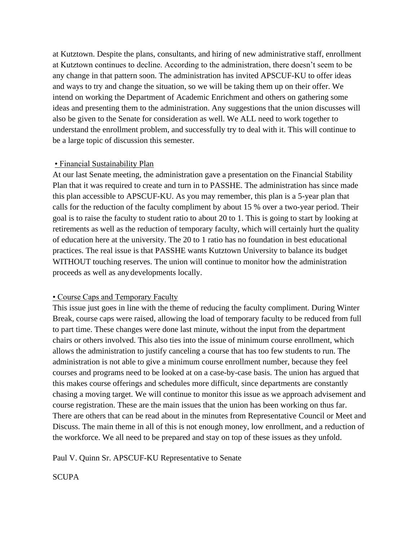at Kutztown. Despite the plans, consultants, and hiring of new administrative staff, enrollment at Kutztown continues to decline. According to the administration, there doesn't seem to be any change in that pattern soon. The administration has invited APSCUF-KU to offer ideas and ways to try and change the situation, so we will be taking them up on their offer. We intend on working the Department of Academic Enrichment and others on gathering some ideas and presenting them to the administration. Any suggestions that the union discusses will also be given to the Senate for consideration as well. We ALL need to work together to understand the enrollment problem, and successfully try to deal with it. This will continue to be a large topic of discussion this semester.

#### • Financial Sustainability Plan

At our last Senate meeting, the administration gave a presentation on the Financial Stability Plan that it was required to create and turn in to PASSHE. The administration has since made this plan accessible to APSCUF-KU. As you may remember, this plan is a 5-year plan that calls for the reduction of the faculty compliment by about 15 % over a two-year period. Their goal is to raise the faculty to student ratio to about 20 to 1. This is going to start by looking at retirements as well as the reduction of temporary faculty, which will certainly hurt the quality of education here at the university. The 20 to 1 ratio has no foundation in best educational practices. The real issue is that PASSHE wants Kutztown University to balance its budget WITHOUT touching reserves. The union will continue to monitor how the administration proceeds as well as any developments locally.

### • Course Caps and Temporary Faculty

This issue just goes in line with the theme of reducing the faculty compliment. During Winter Break, course caps were raised, allowing the load of temporary faculty to be reduced from full to part time. These changes were done last minute, without the input from the department chairs or others involved. This also ties into the issue of minimum course enrollment, which allows the administration to justify canceling a course that has too few students to run. The administration is not able to give a minimum course enrollment number, because they feel courses and programs need to be looked at on a case-by-case basis. The union has argued that this makes course offerings and schedules more difficult, since departments are constantly chasing a moving target. We will continue to monitor this issue as we approach advisement and course registration. These are the main issues that the union has been working on thus far. There are others that can be read about in the minutes from Representative Council or Meet and Discuss. The main theme in all of this is not enough money, low enrollment, and a reduction of the workforce. We all need to be prepared and stay on top of these issues as they unfold.

Paul V. Quinn Sr. APSCUF-KU Representative to Senate

**SCUPA**